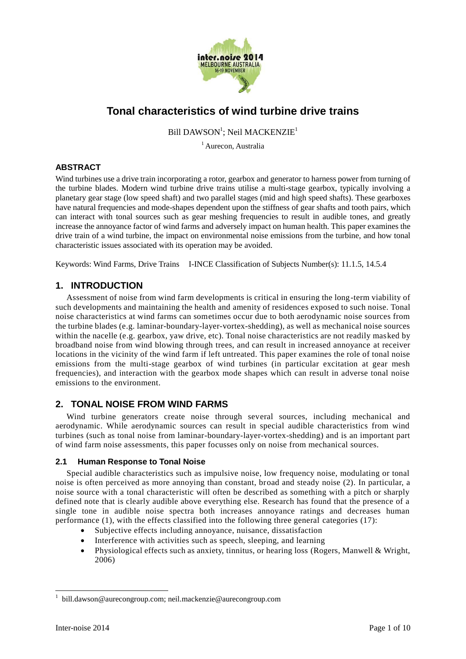

# **Tonal characteristics of wind turbine drive trains**

Bill DAWSON<sup>1</sup>; Neil MACKENZIE<sup>1</sup>

<sup>1</sup> Aurecon, Australia

## **ABSTRACT**

Wind turbines use a drive train incorporating a rotor, gearbox and generator to harness power from turning of the turbine blades. Modern wind turbine drive trains utilise a multi-stage gearbox, typically involving a planetary gear stage (low speed shaft) and two parallel stages (mid and high speed shafts). These gearboxes have natural frequencies and mode-shapes dependent upon the stiffness of gear shafts and tooth pairs, which can interact with tonal sources such as gear meshing frequencies to result in audible tones, and greatly increase the annoyance factor of wind farms and adversely impact on human health. This paper examines the drive train of a wind turbine, the impact on environmental noise emissions from the turbine, and how tonal characteristic issues associated with its operation may be avoided.

Keywords: Wind Farms, Drive Trains I-INCE Classification of Subjects Number(s): 11.1.5, 14.5.4

# **1. INTRODUCTION**

Assessment of noise from wind farm developments is critical in ensuring the long-term viability of such developments and maintaining the health and amenity of residences exposed to such noise. Tonal noise characteristics at wind farms can sometimes occur due to both aerodynamic noise sources from the turbine blades (e.g. laminar-boundary-layer-vortex-shedding), as well as mechanical noise sources within the nacelle (e.g. gearbox, yaw drive, etc). Tonal noise characteristics are not readily masked by broadband noise from wind blowing through trees, and can result in increased annoyance at receiver locations in the vicinity of the wind farm if left untreated. This paper examines the role of tonal noise emissions from the multi-stage gearbox of wind turbines (in particular excitation at gear mesh frequencies), and interaction with the gearbox mode shapes which can result in adverse tonal noise emissions to the environment.

# **2. TONAL NOISE FROM WIND FARMS**

Wind turbine generators create noise through several sources, including mechanical and aerodynamic. While aerodynamic sources can result in special audible characteristics from wind turbines (such as tonal noise from laminar-boundary-layer-vortex-shedding) and is an important part of wind farm noise assessments, this paper focusses only on noise from mechanical sources.

#### **2.1 Human Response to Tonal Noise**

Special audible characteristics such as impulsive noise, low frequency noise, modulating or tonal noise is often perceived as more annoying than constant, broad and steady noise (2). In particular, a noise source with a tonal characteristic will often be described as something with a pitch or sharply defined note that is clearly audible above everything else. Research has found that the presence of a single tone in audible noise spectra both increases annoyance ratings and decreases human performance (1), with the effects classified into the following three general categories (17):

- Subjective effects including annoyance, nuisance, dissatisfaction
- Interference with activities such as speech, sleeping, and learning
- Physiological effects such as anxiety, tinnitus, or hearing loss (Rogers, Manwell & Wright, 2006)

 $\overline{a}$ 

<sup>&</sup>lt;sup>1</sup> bill.dawson@aurecongroup.com; neil.mackenzie@aurecongroup.com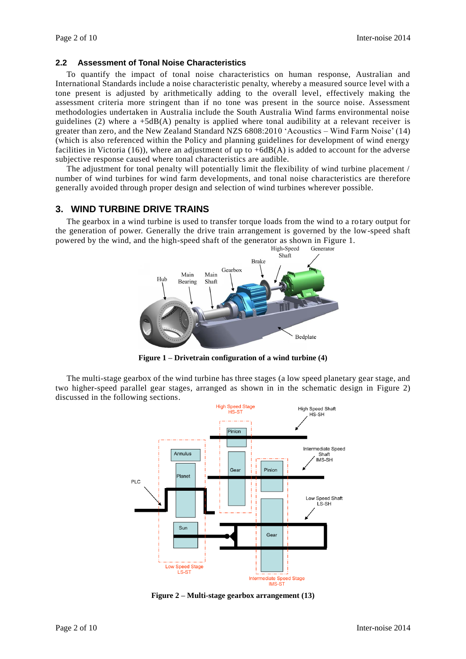#### **2.2 Assessment of Tonal Noise Characteristics**

To quantify the impact of tonal noise characteristics on human response, Australian and International Standards include a noise characteristic penalty, whereby a measured source level with a tone present is adjusted by arithmetically adding to the overall level, effectively making the assessment criteria more stringent than if no tone was present in the source noise. Assessment methodologies undertaken in Australia include the South Australia Wind farms environmental noise guidelines (2) where  $a + 5dB(A)$  penalty is applied where tonal audibility at a relevant receiver is greater than zero, and the New Zealand Standard NZS 6808:2010 'Acoustics – Wind Farm Noise' (14) (which is also referenced within the Policy and planning guidelines for development of wind energy facilities in Victoria (16)), where an adjustment of up to +6dB(A) is added to account for the adverse subjective response caused where tonal characteristics are audible.

The adjustment for tonal penalty will potentially limit the flexibility of wind turbine placement / number of wind turbines for wind farm developments, and tonal noise characteristics are therefore generally avoided through proper design and selection of wind turbines wherever possible.

## **3. WIND TURBINE DRIVE TRAINS**

The gearbox in a wind turbine is used to transfer torque loads from the wind to a rotary output for the generation of power. Generally the drive train arrangement is governed by the low-speed shaft powered by the wind, and the high-speed shaft of the generator as shown in [Figure 1.](#page-1-0)



**Figure 1 – Drivetrain configuration of a wind turbine (4)**

<span id="page-1-0"></span>The multi-stage gearbox of the wind turbine has three stages (a low speed planetary gear stage, and two higher-speed parallel gear stages, arranged as shown in in the schematic design in [Figure 2\)](#page-1-1) discussed in the following sections.



<span id="page-1-1"></span>**Figure 2 – Multi-stage gearbox arrangement (13)**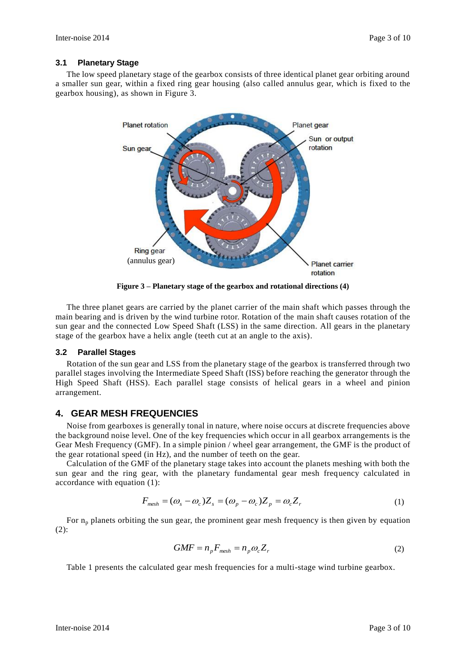#### **3.1 Planetary Stage**

The low speed planetary stage of the gearbox consists of three identical planet gear orbiting around a smaller sun gear, within a fixed ring gear housing (also called annulus gear, which is fixed to the gearbox housing), as shown in [Figure 3.](#page-2-0)



**Figure 3 – Planetary stage of the gearbox and rotational directions (4)**

<span id="page-2-0"></span>The three planet gears are carried by the planet carrier of the main shaft which passes through the main bearing and is driven by the wind turbine rotor. Rotation of the main shaft causes rotation of the sun gear and the connected Low Speed Shaft (LSS) in the same direction. All gears in the planetary stage of the gearbox have a helix angle (teeth cut at an angle to the axis).

#### **3.2 Parallel Stages**

Rotation of the sun gear and LSS from the planetary stage of the gearbox is transferred through two parallel stages involving the Intermediate Speed Shaft (ISS) before reaching the generator through the High Speed Shaft (HSS). Each parallel stage consists of helical gears in a wheel and pinion arrangement.

# **4. GEAR MESH FREQUENCIES**

Noise from gearboxes is generally tonal in nature, where noise occurs at discrete frequencies above the background noise level. One of the key frequencies which occur in all gearbox arrangements is the Gear Mesh Frequency (GMF). In a simple pinion / wheel gear arrangement, the GMF is the product of the gear rotational speed (in Hz), and the number of teeth on the gear.

Calculation of the GMF of the planetary stage takes into account the planets meshing with both the sun gear and the ring gear, with the planetary fundamental gear mesh frequency calculated in accordance with equation (1):

$$
F_{\text{mesh}} = (\omega_s - \omega_c) Z_s = (\omega_p - \omega_c) Z_p = \omega_c Z_r \tag{1}
$$

For  $n_p$  planets orbiting the sun gear, the prominent gear mesh frequency is then given by equation (2):

$$
GMF = n_p F_{mesh} = n_p \omega_c Z_r
$$
 (2)

[Table 1](#page-3-0) presents the calculated gear mesh frequencies for a multi-stage wind turbine gearbox.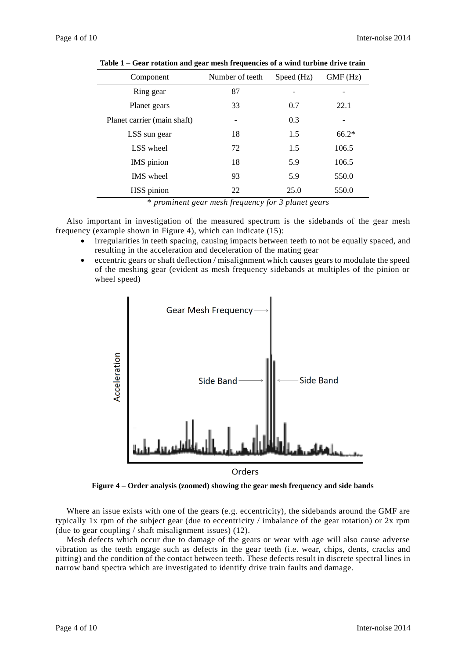<span id="page-3-0"></span>

| Component                   | Number of teeth | Speed (Hz) | GMF(Hz) |
|-----------------------------|-----------------|------------|---------|
| Ring gear                   | 87              |            |         |
| Planet gears                | 33              | 0.7        | 22.1    |
| Planet carrier (main shaft) |                 | 0.3        |         |
| LSS sun gear                | 18              | 1.5        | $66.2*$ |
| LSS wheel                   | 72              | 1.5        | 106.5   |
| IMS pinion                  | 18              | 5.9        | 106.5   |
| <b>IMS</b> wheel            | 93              | 5.9        | 550.0   |
| HSS pinion                  | 22              | 25.0       | 550.0   |

**Table 1 – Gear rotation and gear mesh frequencies of a wind turbine drive train**

\* *prominent gear mesh frequency for 3 planet gears*

Also important in investigation of the measured spectrum is the sidebands of the gear mesh frequency (example shown in [Figure 4\)](#page-3-1), which can indicate (15):

- irregularities in teeth spacing, causing impacts between teeth to not be equally spaced, and resulting in the acceleration and deceleration of the mating gear
- eccentric gears or shaft deflection / misalignment which causes gears to modulate the speed of the meshing gear (evident as mesh frequency sidebands at multiples of the pinion or wheel speed)



**Figure 4 – Order analysis (zoomed) showing the gear mesh frequency and side bands**

<span id="page-3-1"></span>Where an issue exists with one of the gears (e.g. eccentricity), the sidebands around the GMF are typically 1x rpm of the subject gear (due to eccentricity / imbalance of the gear rotation) or 2x rpm (due to gear coupling / shaft misalignment issues) (12).

Mesh defects which occur due to damage of the gears or wear with age will also cause adverse vibration as the teeth engage such as defects in the gear teeth (i.e. wear, chips, dents, cracks and pitting) and the condition of the contact between teeth. These defects result in discrete spectral lines in narrow band spectra which are investigated to identify drive train faults and damage.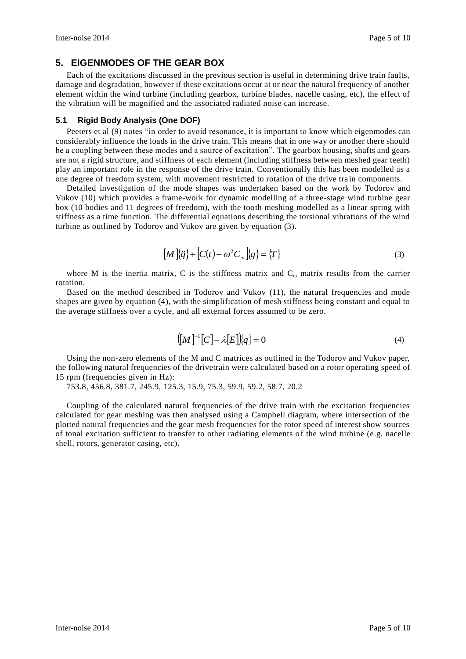# **5. EIGENMODES OF THE GEAR BOX**

Each of the excitations discussed in the previous section is useful in determining drive train faults, damage and degradation, however if these excitations occur at or near the natural frequency of another element within the wind turbine (including gearbox, turbine blades, nacelle casing, etc), the effect of the vibration will be magnified and the associated radiated noise can increase.

#### **5.1 Rigid Body Analysis (One DOF)**

Peeters et al (9) notes "in order to avoid resonance, it is important to know which eigenmodes can considerably influence the loads in the drive train. This means that in one way or another there should be a coupling between these modes and a source of excitation". The gearbox housing, shafts and gears are not a rigid structure, and stiffness of each element (including stiffness between meshed gear teeth) play an important role in the response of the drive train. Conventionally this has been modelled as a one degree of freedom system, with movement restricted to rotation of the drive tra in components.

Detailed investigation of the mode shapes was undertaken based on the work by Todorov and Vukov (10) which provides a frame-work for dynamic modelling of a three-stage wind turbine gear box (10 bodies and 11 degrees of freedom), with the tooth meshing modelled as a linear spring with stiffness as a time function. The differential equations describing the torsional vibrations of the wind turbine as outlined by Todorov and Vukov are given by equation (3).

$$
\left[M\right]\!\{\ddot{q}\} + \left[C(t) - \omega^2 C_\omega\right]\!\{q\} = \left\{T\right\} \tag{3}
$$

where M is the inertia matrix, C is the stiffness matrix and  $C_{\omega}$  matrix results from the carrier rotation.

Based on the method described in Todorov and Vukov (11), the natural frequencies and mode shapes are given by equation (4), with the simplification of mesh stiffness being constant and equal to the average stiffness over a cycle, and all external forces assumed to be zero.

$$
([M]^{-1}[C] - \lambda[E])\langle q \rangle = 0 \tag{4}
$$

Using the non-zero elements of the M and C matrices as outlined in the Todorov and Vukov paper, the following natural frequencies of the drivetrain were calculated based on a rotor operating speed of 15 rpm (frequencies given in Hz):

753.8, 456.8, 381.7, 245.9, 125.3, 15.9, 75.3, 59.9, 59.2, 58.7, 20.2

Coupling of the calculated natural frequencies of the drive train with the excitation frequencies calculated for gear meshing was then analysed using a Campbell diagram, where intersection of the plotted natural frequencies and the gear mesh frequencies for the rotor speed of interest show sources of tonal excitation sufficient to transfer to other radiating elements of the wind turbine (e.g. nacelle shell, rotors, generator casing, etc).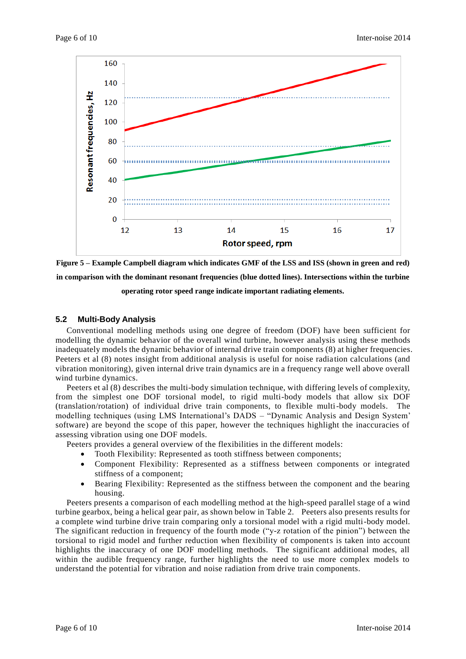

**Figure 5 – Example Campbell diagram which indicates GMF of the LSS and ISS (shown in green and red) in comparison with the dominant resonant frequencies (blue dotted lines). Intersections within the turbine operating rotor speed range indicate important radiating elements.**

#### **5.2 Multi-Body Analysis**

Conventional modelling methods using one degree of freedom (DOF) have been sufficient for modelling the dynamic behavior of the overall wind turbine, however analysis using these methods inadequately models the dynamic behavior of internal drive train components (8) at higher frequencies. Peeters et al (8) notes insight from additional analysis is useful for noise radiation calculations (and vibration monitoring), given internal drive train dynamics are in a frequency range well above overall wind turbine dynamics.

Peeters et al (8) describes the multi-body simulation technique, with differing levels of complexity, from the simplest one DOF torsional model, to rigid multi-body models that allow six DOF (translation/rotation) of individual drive train components, to flexible multi-body models. The modelling techniques (using LMS International's DADS – "Dynamic Analysis and Design System' software) are beyond the scope of this paper, however the techniques highlight the inaccuracies of assessing vibration using one DOF models.

Peeters provides a general overview of the flexibilities in the different models:

- Tooth Flexibility: Represented as tooth stiffness between components;
- Component Flexibility: Represented as a stiffness between components or integrated stiffness of a component;
- Bearing Flexibility: Represented as the stiffness between the component and the bearing housing.

Peeters presents a comparison of each modelling method at the high-speed parallel stage of a wind turbine gearbox, being a helical gear pair, as shown below in [Table 2.](#page-6-0) Peeters also presents results for a complete wind turbine drive train comparing only a torsional model with a rigid multi-body model. The significant reduction in frequency of the fourth mode ("y-z rotation of the pinion") between the torsional to rigid model and further reduction when flexibility of components is taken into account highlights the inaccuracy of one DOF modelling methods. The significant additional modes, all within the audible frequency range, further highlights the need to use more complex models to understand the potential for vibration and noise radiation from drive train components.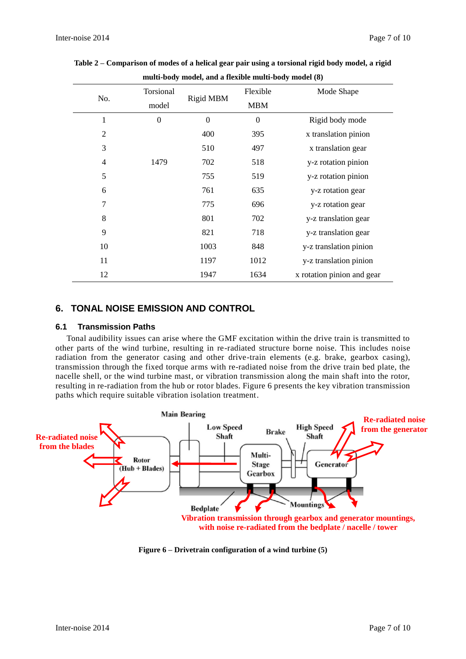| $\frac{1}{2}$  |                  |           |            |                            |  |  |
|----------------|------------------|-----------|------------|----------------------------|--|--|
| No.            | Torsional        | Rigid MBM | Flexible   | Mode Shape                 |  |  |
|                | model            |           | <b>MBM</b> |                            |  |  |
| 1              | $\boldsymbol{0}$ | $\theta$  | $\Omega$   | Rigid body mode            |  |  |
| $\overline{2}$ |                  | 400       | 395        | x translation pinion       |  |  |
| 3              |                  | 510       | 497        | x translation gear         |  |  |
| $\overline{4}$ | 1479             | 702       | 518        | y-z rotation pinion        |  |  |
| 5              |                  | 755       | 519        | y-z rotation pinion        |  |  |
| 6              |                  | 761       | 635        | y-z rotation gear          |  |  |
| 7              |                  | 775       | 696        | y-z rotation gear          |  |  |
| 8              |                  | 801       | 702        | y-z translation gear       |  |  |
| 9              |                  | 821       | 718        | y-z translation gear       |  |  |
| 10             |                  | 1003      | 848        | y-z translation pinion     |  |  |
| 11             |                  | 1197      | 1012       | y-z translation pinion     |  |  |
| 12             |                  | 1947      | 1634       | x rotation pinion and gear |  |  |

<span id="page-6-0"></span>**Table 2 – Comparison of modes of a helical gear pair using a torsional rigid body model, a rigid multi-body model, and a flexible multi-body model (8)**

# **6. TONAL NOISE EMISSION AND CONTROL**

## **6.1 Transmission Paths**

Tonal audibility issues can arise where the GMF excitation within the drive train is transmitted to other parts of the wind turbine, resulting in re-radiated structure borne noise. This includes noise radiation from the generator casing and other drive-train elements (e.g. brake, gearbox casing), transmission through the fixed torque arms with re-radiated noise from the drive train bed plate, the nacelle shell, or the wind turbine mast, or vibration transmission along the main shaft into the rotor, resulting in re-radiation from the hub or rotor blades. [Figure 6](#page-6-1) presents the key vibration transmission paths which require suitable vibration isolation treatment.



<span id="page-6-1"></span>**Figure 6 – Drivetrain configuration of a wind turbine (5)**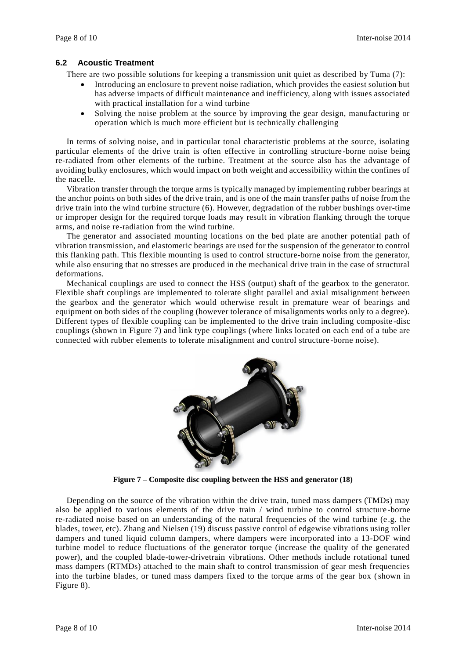#### **6.2 Acoustic Treatment**

There are two possible solutions for keeping a transmission unit quiet as described by Tuma (7):

- Introducing an enclosure to prevent noise radiation, which provides the easiest solution but has adverse impacts of difficult maintenance and inefficiency, along with issues associated with practical installation for a wind turbine
- Solving the noise problem at the source by improving the gear design, manufacturing or operation which is much more efficient but is technically challenging

In terms of solving noise, and in particular tonal characteristic problems at the source, isolating particular elements of the drive train is often effective in controlling structure -borne noise being re-radiated from other elements of the turbine. Treatment at the source also has the advantage of avoiding bulky enclosures, which would impact on both weight and accessibility within the confines of the nacelle.

Vibration transfer through the torque arms is typically managed by implementing rubber bearings at the anchor points on both sides of the drive train, and is one of the main transfer paths of noise from the drive train into the wind turbine structure (6). However, degradation of the rubber bushings over-time or improper design for the required torque loads may result in vibration flanking through the torque arms, and noise re-radiation from the wind turbine.

The generator and associated mounting locations on the bed plate are another potential path of vibration transmission, and elastomeric bearings are used for the suspension of the generator to control this flanking path. This flexible mounting is used to control structure-borne noise from the generator, while also ensuring that no stresses are produced in the mechanical drive train in the case of structural deformations.

Mechanical couplings are used to connect the HSS (output) shaft of the gearbox to the generator. Flexible shaft couplings are implemented to tolerate slight parallel and axial misalignment between the gearbox and the generator which would otherwise result in premature wear of bearings and equipment on both sides of the coupling (however tolerance of misalignments works only to a degree). Different types of flexible coupling can be implemented to the drive train including composite -disc couplings (shown in [Figure 7\)](#page-7-0) and link type couplings (where links located on each end of a tube are connected with rubber elements to tolerate misalignment and control structure -borne noise).



**Figure 7 – Composite disc coupling between the HSS and generator (18)**

<span id="page-7-0"></span>Depending on the source of the vibration within the drive train, tuned mass dampers (TMDs) may also be applied to various elements of the drive train / wind turbine to control structure -borne re-radiated noise based on an understanding of the natural frequencies of the wind turbine (e .g. the blades, tower, etc). Zhang and Nielsen (19) discuss passive control of edgewise vibrations using roller dampers and tuned liquid column dampers, where dampers were incorporated into a 13-DOF wind turbine model to reduce fluctuations of the generator torque (increase the quality of the generated power), and the coupled blade-tower-drivetrain vibrations. Other methods include rotational tuned mass dampers (RTMDs) attached to the main shaft to control transmission of gear mesh frequencies into the turbine blades, or tuned mass dampers fixed to the torque arms of the gear box (shown in [Figure 8\)](#page-8-0).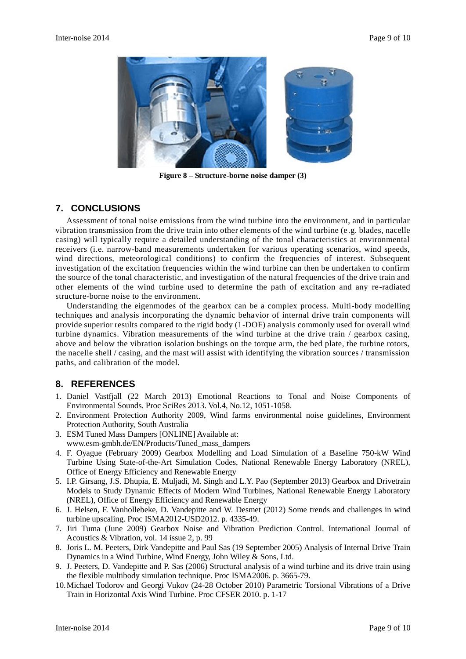

**Figure 8 – Structure-borne noise damper (3)**

# <span id="page-8-0"></span>**7. CONCLUSIONS**

Assessment of tonal noise emissions from the wind turbine into the environment, and in particular vibration transmission from the drive train into other elements of the wind turbine (e .g. blades, nacelle casing) will typically require a detailed understanding of the tonal characteristics at environmental receivers (i.e. narrow-band measurements undertaken for various operating scenarios, wind speeds, wind directions, meteorological conditions) to confirm the frequencies of interest. Subsequent investigation of the excitation frequencies within the wind turbine can then be undertaken to confirm the source of the tonal characteristic, and investigation of the natural frequencies of the drive train and other elements of the wind turbine used to determine the path of excitation and any re-radiated structure-borne noise to the environment.

Understanding the eigenmodes of the gearbox can be a complex process. Multi-body modelling techniques and analysis incorporating the dynamic behavior of internal drive train components will provide superior results compared to the rigid body (1-DOF) analysis commonly used for overall wind turbine dynamics. Vibration measurements of the wind turbine at the drive train / gearbox casing, above and below the vibration isolation bushings on the torque arm, the bed plate, the turbine rotors, the nacelle shell / casing, and the mast will assist with identifying the vibration sources / transmission paths, and calibration of the model.

# **8. REFERENCES**

- 1. Daniel Vastfjall (22 March 2013) Emotional Reactions to Tonal and Noise Components of Environmental Sounds. Proc SciRes 2013. Vol.4, No.12, 1051-1058.
- 2. Environment Protection Authority 2009, Wind farms environmental noise guidelines, Environment Protection Authority, South Australia
- 3. ESM Tuned Mass Dampers [ONLINE] Available at: www.esm-gmbh.de/EN/Products/Tuned\_mass\_dampers
- 4. F. Oyague (February 2009) Gearbox Modelling and Load Simulation of a Baseline 750-kW Wind Turbine Using State-of-the-Art Simulation Codes, National Renewable Energy Laboratory (NREL), Office of Energy Efficiency and Renewable Energy
- 5. I.P. Girsang, J.S. Dhupia, E. Muljadi, M. Singh and L.Y. Pao (September 2013) Gearbox and Drivetrain Models to Study Dynamic Effects of Modern Wind Turbines, National Renewable Energy Laboratory (NREL), Office of Energy Efficiency and Renewable Energy
- 6. J. Helsen, F. Vanhollebeke, D. Vandepitte and W. Desmet (2012) Some trends and challenges in wind turbine upscaling. Proc ISMA2012-USD2012. p. 4335-49.
- 7. Jiri Tuma (June 2009) Gearbox Noise and Vibration Prediction Control. International Journal of Acoustics & Vibration, vol. 14 issue 2, p. 99
- 8. Joris L. M. Peeters, Dirk Vandepitte and Paul Sas (19 September 2005) Analysis of Internal Drive Train Dynamics in a Wind Turbine, Wind Energy, John Wiley & Sons, Ltd.
- 9. J. Peeters, D. Vandepitte and P. Sas (2006) Structural analysis of a wind turbine and its drive train using the flexible multibody simulation technique. Proc ISMA2006. p. 3665-79.
- 10.Michael Todorov and Georgi Vukov (24-28 October 2010) Parametric Torsional Vibrations of a Drive Train in Horizontal Axis Wind Turbine. Proc CFSER 2010. p. 1-17